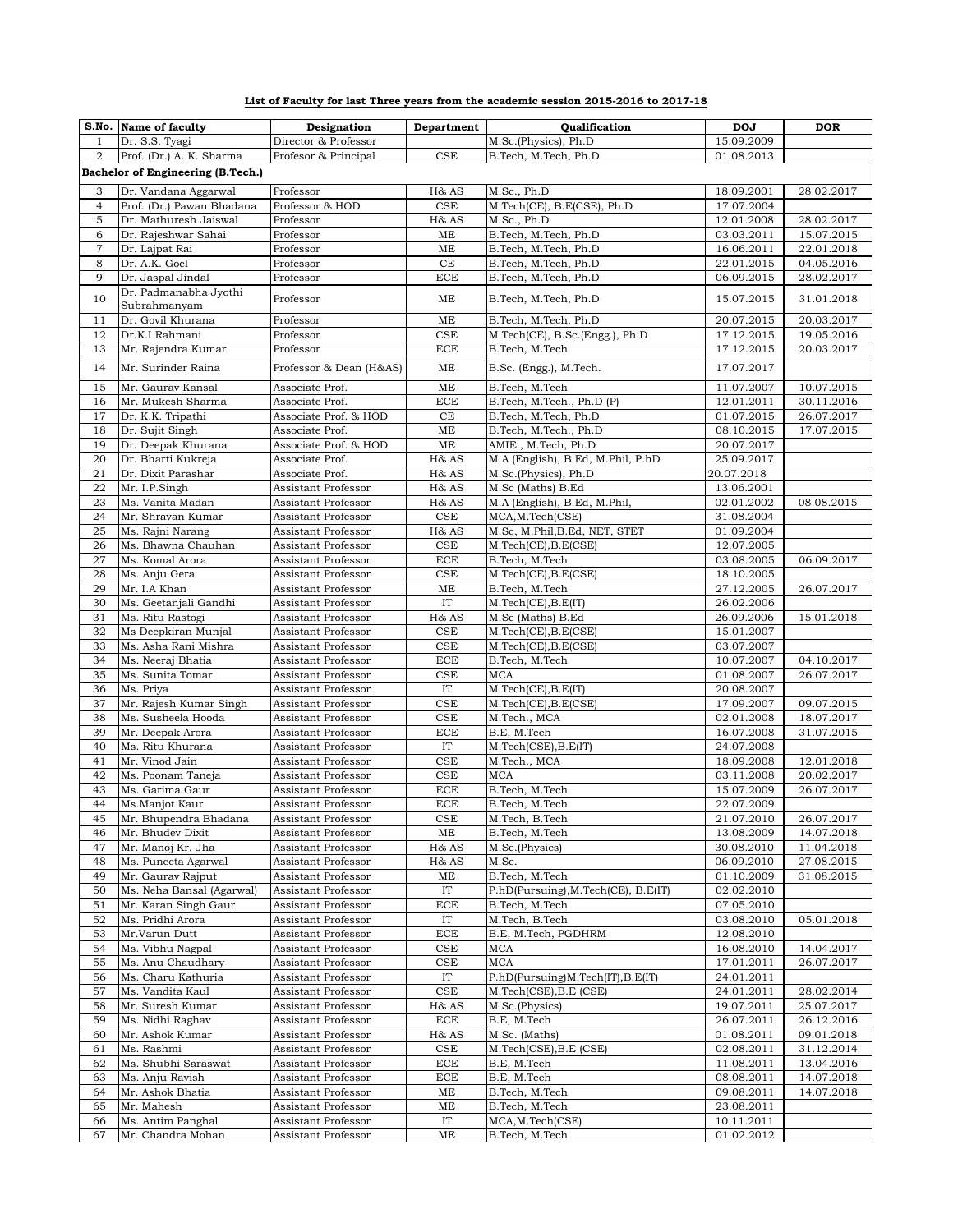| List of Faculty for last Three years from the academic session 2015-2016 to 2017-18 |  |  |
|-------------------------------------------------------------------------------------|--|--|
|                                                                                     |  |  |

|                | S.No. Name of faculty                     | Designation                                | Department        | Qualification                       | <b>DOJ</b>               | <b>DOR</b>               |  |
|----------------|-------------------------------------------|--------------------------------------------|-------------------|-------------------------------------|--------------------------|--------------------------|--|
| $\mathbf{1}$   | Dr. S.S. Tyagi                            | Director & Professor                       |                   | M.Sc.(Physics), Ph.D                | 15.09.2009               |                          |  |
| $\overline{2}$ | Prof. (Dr.) A. K. Sharma                  | Profesor & Principal                       | CSE               | B.Tech, M.Tech, Ph.D                | 01.08.2013               |                          |  |
|                | Bachelor of Engineering (B.Tech.)         |                                            |                   |                                     |                          |                          |  |
|                |                                           |                                            |                   |                                     |                          |                          |  |
| 3              | Dr. Vandana Aggarwal                      | Professor                                  | H& AS             | M.Sc., Ph.D                         | 18.09.2001               | 28.02.2017               |  |
| $\overline{4}$ | Prof. (Dr.) Pawan Bhadana                 | Professor & HOD                            | $_{\rm CSE}$      | M.Tech(CE), B.E(CSE), Ph.D          | 17.07.2004               |                          |  |
| $\mathbf 5$    | Dr. Mathuresh Jaiswal                     | Professor                                  | H& AS             | M.Sc., Ph.D                         | 12.01.2008               | 28.02.2017               |  |
| 6              | Dr. Rajeshwar Sahai                       | Professor                                  | ME                | B.Tech, M.Tech, Ph.D                | 03.03.2011               | 15.07.2015               |  |
| $\overline{7}$ | Dr. Lajpat Rai                            | Professor                                  | ME                | B.Tech, M.Tech, Ph.D                | 16.06.2011               | 22.01.2018               |  |
| $\,8\,$        | Dr. A.K. Goel<br>Dr. Jaspal Jindal        | Professor                                  | CE                | B.Tech, M.Tech, Ph.D                | 22.01.2015               | 04.05.2016               |  |
| 9              | Dr. Padmanabha Jyothi                     | Professor                                  | <b>ECE</b>        | B.Tech, M.Tech, Ph.D                | 06.09.2015               | 28.02.2017               |  |
| 10             | Subrahmanyam                              | Professor                                  | ME                | B.Tech, M.Tech, Ph.D                | 15.07.2015               | 31.01.2018               |  |
| 11             | Dr. Govil Khurana                         | Professor                                  | ME                | B.Tech, M.Tech, Ph.D                | 20.07.2015               | 20.03.2017               |  |
| 12             | Dr.K.I Rahmani                            | Professor                                  | CSE               | M.Tech(CE), B.Sc.(Engg.), Ph.D      | 17.12.2015               | 19.05.2016               |  |
| 13             | Mr. Rajendra Kumar                        | Professor                                  | <b>ECE</b>        | B.Tech, M.Tech                      | 17.12.2015               | 20.03.2017               |  |
|                |                                           |                                            |                   |                                     |                          |                          |  |
| 14             | Mr. Surinder Raina                        | Professor & Dean (H&AS)                    | ME                | B.Sc. (Engg.), M.Tech.              | 17.07.2017               |                          |  |
| 15             | Mr. Gaurav Kansal                         | Associate Prof.                            | ME                | B.Tech, M.Tech                      | 11.07.2007               | 10.07.2015               |  |
| 16             | Mr. Mukesh Sharma                         | Associate Prof.                            | <b>ECE</b>        | B.Tech, M.Tech., Ph.D (P)           | 12.01.2011               | 30.11.2016               |  |
| 17             | Dr. K.K. Tripathi                         | Associate Prof. & HOD                      | $\!$ $\!$         | B.Tech, M.Tech, Ph.D                | 01.07.2015               | 26.07.2017               |  |
| 18             | Dr. Sujit Singh                           | Associate Prof.                            | ME                | B.Tech, M.Tech., Ph.D               | 08.10.2015               | 17.07.2015               |  |
| 19             | Dr. Deepak Khurana                        | Associate Prof. & HOD                      | ME                | AMIE., M.Tech, Ph.D                 | 20.07.2017               |                          |  |
| 20             | Dr. Bharti Kukreja                        | Associate Prof.                            | H& AS             | M.A (English), B.Ed, M.Phil, P.hD   | 25.09.2017               |                          |  |
| 21             | Dr. Dixit Parashar                        | Associate Prof.                            | H& AS             | M.Sc.(Physics), Ph.D                | 20.07.2018               |                          |  |
| 22             | Mr. I.P.Singh                             | Assistant Professor                        | H& AS             | M.Sc (Maths) B.Ed                   | 13.06.2001               |                          |  |
| 23             | Ms. Vanita Madan                          | Assistant Professor                        | H& AS             | M.A (English), B.Ed, M.Phil,        | 02.01.2002               | 08.08.2015               |  |
| 24             | Mr. Shravan Kumar                         | Assistant Professor                        | <b>CSE</b>        | MCA, M. Tech(CSE)                   | 31.08.2004               |                          |  |
| 25             | Ms. Rajni Narang                          | Assistant Professor                        | H& AS             | M.Sc, M.Phil, B.Ed, NET, STET       | 01.09.2004               |                          |  |
| 26             | Ms. Bhawna Chauhan                        | Assistant Professor                        | CSE               | M.Tech(CE), B.E(CSE)                | 12.07.2005               |                          |  |
| 27             | Ms. Komal Arora                           | Assistant Professor                        | <b>ECE</b>        | B.Tech, M.Tech                      | 03.08.2005               | 06.09.2017               |  |
| 28             | Ms. Anju Gera                             | Assistant Professor                        | CSE               | M.Tech(CE), B.E(CSE)                | 18.10.2005               |                          |  |
| 29             | Mr. I.A Khan                              | Assistant Professor                        | $\rm ME$          | B.Tech, M.Tech                      | 27.12.2005               | 26.07.2017               |  |
| 30             | Ms. Geetanjali Gandhi                     | Assistant Professor                        | IT                | M.Tech(CE), B.E(IT)                 | 26.02.2006               |                          |  |
| 31             | Ms. Ritu Rastogi                          | Assistant Professor                        | H& AS             | M.Sc (Maths) B.Ed                   | 26.09.2006               | 15.01.2018               |  |
| 32             | Ms Deepkiran Munjal                       | Assistant Professor                        | CSE               | M.Tech(CE),B.E(CSE)                 | 15.01.2007               |                          |  |
| 33             | Ms. Asha Rani Mishra                      | Assistant Professor                        | CSE               | M.Tech(CE),B.E(CSE)                 | 03.07.2007               |                          |  |
| 34             | Ms. Neeraj Bhatia                         | Assistant Professor                        | <b>ECE</b>        | B.Tech, M.Tech                      | 10.07.2007               | 04.10.2017               |  |
| 35             | Ms. Sunita Tomar                          | Assistant Professor                        | <b>CSE</b>        | <b>MCA</b>                          | 01.08.2007               | 26.07.2017               |  |
| 36             | Ms. Priya                                 | Assistant Professor                        | IT                | M.Tech(CE), B.E(IT)                 | 20.08.2007               |                          |  |
| 37             | Mr. Rajesh Kumar Singh                    | Assistant Professor                        | CSE               | M.Tech(CE), B.E(CSE)                | 17.09.2007               | 09.07.2015               |  |
| 38             | Ms. Susheela Hooda                        | Assistant Professor                        | CSE               | M.Tech., MCA                        | 02.01.2008               | 18.07.2017               |  |
| 39<br>40       | Mr. Deepak Arora                          | Assistant Professor                        | <b>ECE</b>        | B.E, M.Tech                         | 16.07.2008<br>24.07.2008 | 31.07.2015               |  |
|                | Ms. Ritu Khurana                          | Assistant Professor                        | IT                | M.Tech(CSE), B.E(IT)                |                          |                          |  |
| 41<br>42       | Mr. Vinod Jain<br>Ms. Poonam Taneja       | Assistant Professor<br>Assistant Professor | CSE<br><b>CSE</b> | M.Tech., MCA<br>$_{\mathrm{MCA}}$   | 18.09.2008<br>03.11.2008 | 12.01.2018<br>20.02.2017 |  |
| 43             | Ms. Garima Gaur                           | Assistant Professor                        | <b>ECE</b>        |                                     |                          |                          |  |
| 44             | Ms.Manjot Kaur                            | Assistant Professor                        | <b>ECE</b>        | B.Tech, M.Tech<br>B.Tech, M.Tech    | 15.07.2009<br>22.07.2009 | 26.07.2017               |  |
|                |                                           |                                            |                   |                                     |                          |                          |  |
| 45<br>46       | Mr. Bhupendra Bhadana<br>Mr. Bhudev Dixit | Assistant Professor<br>Assistant Professor | CSE<br>ME         | M.Tech, B.Tech<br>B.Tech, M.Tech    | 21.07.2010<br>13.08.2009 | 26.07.2017<br>14.07.2018 |  |
| 47             | Mr. Manoj Kr. Jha                         | Assistant Professor                        | H& AS             | M.Sc.(Physics)                      | 30.08.2010               | 11.04.2018               |  |
| 48             | Ms. Puneeta Agarwal                       | Assistant Professor                        | H& AS             | M.Sc.                               | 06.09.2010               | 27.08.2015               |  |
| 49             | Mr. Gaurav Rajput                         | Assistant Professor                        | ME                | B.Tech, M.Tech                      | 01.10.2009               | 31.08.2015               |  |
| 50             | Ms. Neha Bansal (Agarwal)                 | Assistant Professor                        | IT                | P.hD(Pursuing), M.Tech(CE), B.E(IT) | 02.02.2010               |                          |  |
| 51             | Mr. Karan Singh Gaur                      | Assistant Professor                        | ECE               | B.Tech, M.Tech                      | 07.05.2010               |                          |  |
| 52             | Ms. Pridhi Arora                          | Assistant Professor                        | IT                | M.Tech, B.Tech                      | 03.08.2010               | 05.01.2018               |  |
| 53             | Mr.Varun Dutt                             | Assistant Professor                        | <b>ECE</b>        | B.E, M.Tech, PGDHRM                 | 12.08.2010               |                          |  |
| 54             | Ms. Vibhu Nagpal                          | Assistant Professor                        | CSE               | MCA                                 | 16.08.2010               | 14.04.2017               |  |
| 55             | Ms. Anu Chaudhary                         | Assistant Professor                        | CSE               | <b>MCA</b>                          | 17.01.2011               | 26.07.2017               |  |
| 56             | Ms. Charu Kathuria                        | Assistant Professor                        | IT                | P.hD(Pursuing)M.Tech(IT),B.E(IT)    | 24.01.2011               |                          |  |
| 57             | Ms. Vandita Kaul                          | Assistant Professor                        | CSE               | M.Tech(CSE), B.E (CSE)              | 24.01.2011               | 28.02.2014               |  |
| 58             | Mr. Suresh Kumar                          | Assistant Professor                        | H& AS             | M.Sc.(Physics)                      | 19.07.2011               | 25.07.2017               |  |
| 59             | Ms. Nidhi Raghav                          | Assistant Professor                        | ECE               | B.E, M.Tech                         | 26.07.2011               | 26.12.2016               |  |
| 60             | Mr. Ashok Kumar                           | Assistant Professor                        | H& AS             | M.Sc. (Maths)                       | 01.08.2011               | 09.01.2018               |  |
| 61             | Ms. Rashmi                                | Assistant Professor                        | CSE               | M.Tech(CSE), B.E (CSE)              | 02.08.2011               | 31.12.2014               |  |
| 62             | Ms. Shubhi Saraswat                       | Assistant Professor                        | ECE               | B.E, M.Tech                         | 11.08.2011               | 13.04.2016               |  |
| 63             | Ms. Anju Ravish                           | Assistant Professor                        | <b>ECE</b>        | B.E, M.Tech                         | 08.08.2011               | 14.07.2018               |  |
| 64             | Mr. Ashok Bhatia                          | Assistant Professor                        | МE                | B.Tech, M.Tech                      | 09.08.2011               | 14.07.2018               |  |
| 65             | Mr. Mahesh                                | Assistant Professor                        | ME                | B.Tech, M.Tech                      | 23.08.2011               |                          |  |
| 66             | Ms. Antim Panghal                         | Assistant Professor                        | IT                | MCA, M. Tech (CSE)                  | 10.11.2011               |                          |  |
| 67             | Mr. Chandra Mohan                         | Assistant Professor                        | ME                | B.Tech, M.Tech                      | 01.02.2012               |                          |  |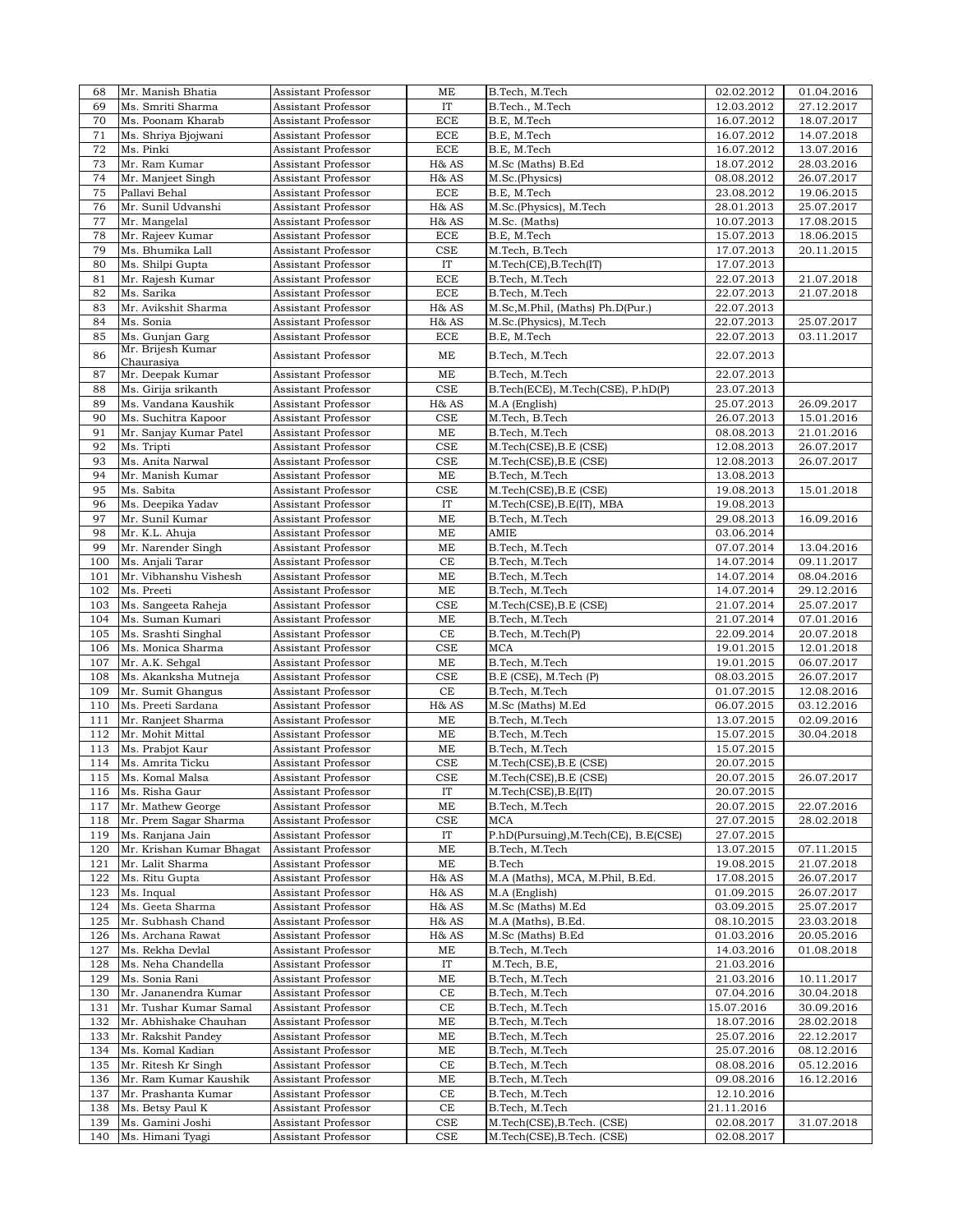| 68  |                          |                     |            |                                      |            |            |
|-----|--------------------------|---------------------|------------|--------------------------------------|------------|------------|
|     | Mr. Manish Bhatia        | Assistant Professor | ME         | B.Tech, M.Tech                       | 02.02.2012 | 01.04.2016 |
| 69  | Ms. Smriti Sharma        | Assistant Professor | IT         | B.Tech., M.Tech                      | 12.03.2012 | 27.12.2017 |
| 70  | Ms. Poonam Kharab        | Assistant Professor | <b>ECE</b> | B.E, M.Tech                          | 16.07.2012 | 18.07.2017 |
| 71  | Ms. Shriya Bjojwani      | Assistant Professor | <b>ECE</b> | B.E, M.Tech                          | 16.07.2012 | 14.07.2018 |
| 72  | Ms. Pinki                | Assistant Professor | <b>ECE</b> | B.E, M.Tech                          | 16.07.2012 | 13.07.2016 |
|     |                          |                     |            |                                      |            |            |
| 73  | Mr. Ram Kumar            | Assistant Professor | H& AS      | M.Sc (Maths) B.Ed                    | 18.07.2012 | 28.03.2016 |
| 74  | Mr. Manjeet Singh        | Assistant Professor | H& AS      | M.Sc.(Physics)                       | 08.08.2012 | 26.07.2017 |
| 75  | Pallavi Behal            | Assistant Professor | ECE        | B.E, M.Tech                          | 23.08.2012 | 19.06.2015 |
| 76  | Mr. Sunil Udvanshi       | Assistant Professor | H& AS      | M.Sc.(Physics), M.Tech               | 28.01.2013 | 25.07.2017 |
|     |                          |                     |            |                                      |            |            |
| 77  | Mr. Mangelal             | Assistant Professor | H& AS      | M.Sc. (Maths)                        | 10.07.2013 | 17.08.2015 |
| 78  | Mr. Rajeev Kumar         | Assistant Professor | ECE        | B.E, M.Tech                          | 15.07.2013 | 18.06.2015 |
| 79  | Ms. Bhumika Lall         | Assistant Professor | CSE        | M.Tech, B.Tech                       | 17.07.2013 | 20.11.2015 |
| 80  | Ms. Shilpi Gupta         | Assistant Professor | IT         | M.Tech(CE), B.Tech(IT)               | 17.07.2013 |            |
|     |                          |                     |            |                                      |            |            |
| 81  | Mr. Rajesh Kumar         | Assistant Professor | ECE        | B.Tech, M.Tech                       | 22.07.2013 | 21.07.2018 |
| 82  | Ms. Sarika               | Assistant Professor | <b>ECE</b> | B.Tech, M.Tech                       | 22.07.2013 | 21.07.2018 |
| 83  | Mr. Avikshit Sharma      | Assistant Professor | H& AS      | M.Sc, M.Phil, (Maths) Ph.D(Pur.)     | 22.07.2013 |            |
| 84  | Ms. Sonia                | Assistant Professor | H& AS      | M.Sc.(Physics), M.Tech               | 22.07.2013 | 25.07.2017 |
| 85  | Ms. Gunjan Garg          | Assistant Professor | <b>ECE</b> | B.E, M.Tech                          | 22.07.2013 | 03.11.2017 |
|     |                          |                     |            |                                      |            |            |
| 86  | Mr. Brijesh Kumar        | Assistant Professor | ME         | B.Tech, M.Tech                       | 22.07.2013 |            |
|     | Chaurasiya               |                     |            |                                      |            |            |
| 87  | Mr. Deepak Kumar         | Assistant Professor | ME         | B.Tech, M.Tech                       | 22.07.2013 |            |
| 88  | Ms. Girija srikanth      | Assistant Professor | CSE        | B.Tech(ECE), M.Tech(CSE), P.hD(P)    | 23.07.2013 |            |
| 89  | Ms. Vandana Kaushik      | Assistant Professor | H& AS      | M.A (English)                        | 25.07.2013 | 26.09.2017 |
|     |                          |                     |            |                                      |            |            |
| 90  | Ms. Suchitra Kapoor      | Assistant Professor | CSE        | M.Tech, B.Tech                       | 26.07.2013 | 15.01.2016 |
| 91  | Mr. Sanjay Kumar Patel   | Assistant Professor | ME         | B.Tech, M.Tech                       | 08.08.2013 | 21.01.2016 |
| 92  | Ms. Tripti               | Assistant Professor | CSE        | M.Tech(CSE), B.E (CSE)               | 12.08.2013 | 26.07.2017 |
| 93  | Ms. Anita Narwal         | Assistant Professor | CSE        | M.Tech(CSE), B.E (CSE)               | 12.08.2013 | 26.07.2017 |
|     |                          |                     |            |                                      |            |            |
| 94  | Mr. Manish Kumar         | Assistant Professor | ME         | B.Tech, M.Tech                       | 13.08.2013 |            |
| 95  | Ms. Sabita               | Assistant Professor | CSE        | M.Tech(CSE), B.E (CSE)               | 19.08.2013 | 15.01.2018 |
| 96  | Ms. Deepika Yadav        | Assistant Professor | IT         | M.Tech(CSE), B.E(IT), MBA            | 19.08.2013 |            |
| 97  | Mr. Sunil Kumar          | Assistant Professor | ME         | B.Tech, M.Tech                       | 29.08.2013 | 16.09.2016 |
|     |                          |                     |            |                                      |            |            |
| 98  | Mr. K.L. Ahuja           | Assistant Professor | ME         | AMIE                                 | 03.06.2014 |            |
| 99  | Mr. Narender Singh       | Assistant Professor | ME         | B.Tech, M.Tech                       | 07.07.2014 | 13.04.2016 |
| 100 | Ms. Anjali Tarar         | Assistant Professor | CE         | B.Tech, M.Tech                       | 14.07.2014 | 09.11.2017 |
| 101 | Mr. Vibhanshu Vishesh    | Assistant Professor | ME         | B.Tech, M.Tech                       | 14.07.2014 | 08.04.2016 |
|     |                          |                     |            |                                      |            |            |
| 102 | Ms. Preeti               | Assistant Professor | ME         | B.Tech, M.Tech                       | 14.07.2014 | 29.12.2016 |
| 103 | Ms. Sangeeta Raheja      | Assistant Professor | CSE        | M.Tech(CSE), B.E (CSE)               | 21.07.2014 | 25.07.2017 |
| 104 | Ms. Suman Kumari         | Assistant Professor | ME         | B.Tech, M.Tech                       | 21.07.2014 | 07.01.2016 |
| 105 | Ms. Srashti Singhal      | Assistant Professor | СE         | B.Tech, M.Tech(P)                    | 22.09.2014 | 20.07.2018 |
|     |                          |                     |            |                                      |            |            |
| 106 | Ms. Monica Sharma        | Assistant Professor | <b>CSE</b> | <b>MCA</b>                           | 19.01.2015 | 12.01.2018 |
| 107 | Mr. A.K. Sehgal          | Assistant Professor | ME         | B.Tech, M.Tech                       | 19.01.2015 | 06.07.2017 |
| 108 | Ms. Akanksha Mutneja     | Assistant Professor | CSE        | B.E (CSE), M.Tech (P)                | 08.03.2015 | 26.07.2017 |
| 109 | Mr. Sumit Ghangus        | Assistant Professor | CE         | B.Tech, M.Tech                       | 01.07.2015 | 12.08.2016 |
|     |                          |                     |            |                                      |            |            |
| 110 | Ms. Preeti Sardana       | Assistant Professor | H& AS      | M.Sc (Maths) M.Ed                    | 06.07.2015 | 03.12.2016 |
| 111 | Mr. Ranjeet Sharma       | Assistant Professor | ME         | B.Tech, M.Tech                       | 13.07.2015 | 02.09.2016 |
| 112 | Mr. Mohit Mittal         | Assistant Professor | ME         | B.Tech, M.Tech                       | 15.07.2015 | 30.04.2018 |
| 113 | Ms. Prabjot Kaur         | Assistant Professor | ME         | B.Tech, M.Tech                       | 15.07.2015 |            |
|     |                          |                     |            |                                      |            |            |
| 114 | Ms. Amrita Ticku         | Assistant Professor | <b>CSE</b> | M.Tech(CSE), B.E (CSE)               | 20.07.2015 |            |
|     | 115 Ms. Komal Malsa      | Assistant Professor | <b>CSE</b> | M.Tech(CSE), B.E (CSE)               | 20.07.2015 | 26.07.2017 |
| 116 | Ms. Risha Gaur           | Assistant Professor | IT         | M.Tech(CSE), B.E(IT)                 | 20.07.2015 |            |
| 117 | Mr. Mathew George        | Assistant Professor | ME         | B.Tech, M.Tech                       | 20.07.2015 | 22.07.2016 |
|     |                          |                     |            |                                      |            |            |
| 118 | Mr. Prem Sagar Sharma    | Assistant Professor | CSE        | MCA                                  | 27.07.2015 | 28.02.2018 |
| 119 | Ms. Ranjana Jain         | Assistant Professor | IT         | P.hD(Pursuing), M.Tech(CE), B.E(CSE) | 27.07.2015 |            |
| 120 | Mr. Krishan Kumar Bhagat | Assistant Professor | ME         | B.Tech, M.Tech                       | 13.07.2015 | 07.11.2015 |
| 121 | Mr. Lalit Sharma         | Assistant Professor | ME         | <b>B.Tech</b>                        | 19.08.2015 | 21.07.2018 |
|     |                          |                     |            |                                      |            |            |
| 122 | Ms. Ritu Gupta           | Assistant Professor | H& AS      | M.A (Maths), MCA, M.Phil, B.Ed.      | 17.08.2015 | 26.07.2017 |
| 123 | Ms. Inqual               | Assistant Professor | H& AS      | M.A (English)                        | 01.09.2015 | 26.07.2017 |
| 124 | Ms. Geeta Sharma         | Assistant Professor | H& AS      | M.Sc (Maths) M.Ed                    | 03.09.2015 | 25.07.2017 |
| 125 | Mr. Subhash Chand        | Assistant Professor | H& AS      | M.A (Maths), B.Ed.                   | 08.10.2015 | 23.03.2018 |
|     |                          |                     |            |                                      |            |            |
| 126 | Ms. Archana Rawat        | Assistant Professor | H& AS      | M.Sc (Maths) B.Ed                    | 01.03.2016 | 20.05.2016 |
| 127 | Ms. Rekha Devlal         | Assistant Professor | MЕ         | B.Tech, M.Tech                       | 14.03.2016 | 01.08.2018 |
| 128 | Ms. Neha Chandella       | Assistant Professor | IT         | M.Tech, B.E,                         | 21.03.2016 |            |
| 129 | Ms. Sonia Rani           | Assistant Professor | ME         | B.Tech, M.Tech                       | 21.03.2016 | 10.11.2017 |
|     |                          |                     |            |                                      |            |            |
| 130 | Mr. Jananendra Kumar     | Assistant Professor | CE         | B.Tech, M.Tech                       | 07.04.2016 | 30.04.2018 |
| 131 | Mr. Tushar Kumar Samal   | Assistant Professor | CE         | B.Tech, M.Tech                       | 15.07.2016 | 30.09.2016 |
| 132 | Mr. Abhishake Chauhan    | Assistant Professor | ME         | B.Tech, M.Tech                       | 18.07.2016 | 28.02.2018 |
| 133 | Mr. Rakshit Pandey       | Assistant Professor | ME         | B.Tech, M.Tech                       | 25.07.2016 | 22.12.2017 |
|     |                          |                     |            |                                      |            |            |
| 134 | Ms. Komal Kadian         | Assistant Professor | ME         | B.Tech, M.Tech                       | 25.07.2016 | 08.12.2016 |
| 135 | Mr. Ritesh Kr Singh      | Assistant Professor | CE         | B.Tech, M.Tech                       | 08.08.2016 | 05.12.2016 |
| 136 | Mr. Ram Kumar Kaushik    | Assistant Professor | ME         | B.Tech, M.Tech                       | 09.08.2016 | 16.12.2016 |
| 137 | Mr. Prashanta Kumar      | Assistant Professor | СE         | B.Tech, M.Tech                       | 12.10.2016 |            |
|     |                          |                     |            |                                      |            |            |
| 138 | Ms. Betsy Paul K         | Assistant Professor | CE         | B.Tech, M.Tech                       | 21.11.2016 |            |
| 139 | Ms. Gamini Joshi         | Assistant Professor | CSE        | M.Tech(CSE), B.Tech. (CSE)           | 02.08.2017 | 31.07.2018 |
|     | 140 Ms. Himani Tyagi     | Assistant Professor | CSE        | M.Tech(CSE), B.Tech. (CSE)           | 02.08.2017 |            |
|     |                          |                     |            |                                      |            |            |